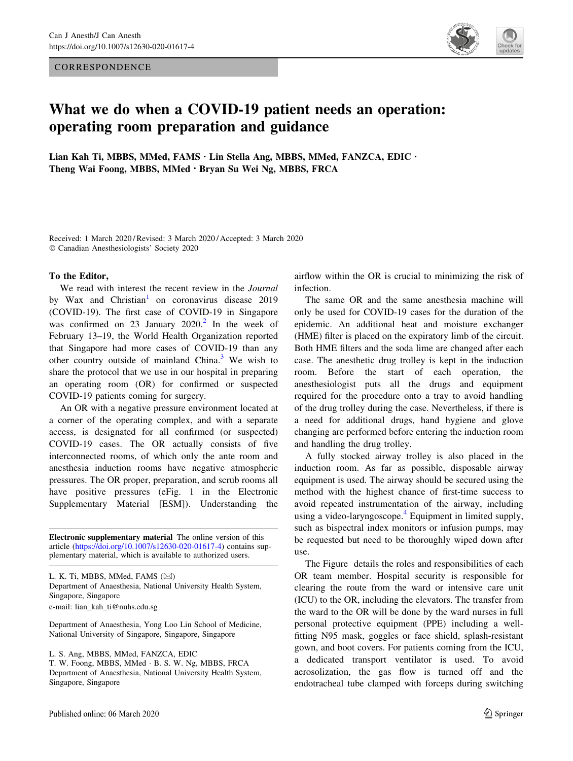**CORRESPONDENCE** 



## What we do when a COVID-19 patient needs an operation: operating room preparation and guidance

Lian Kah Ti, MBBS, MMed, FAMS · Lin Stella Ang, MBBS, MMed, FANZCA, EDIC · Theng Wai Foong, MBBS, MMed . Bryan Su Wei Ng, MBBS, FRCA

Received: 1 March 2020 / Revised: 3 March 2020 / Accepted: 3 March 2020 © Canadian Anesthesiologists' Society 2020

## To the Editor,

We read with interest the recent review in the *Journal* by Wax and Christian<sup>[1](#page-1-0)</sup> on coronavirus disease 2019 (COVID-19). The first case of COVID-19 in Singapore was confirmed on [2](#page-2-0)3 January  $2020$ <sup>2</sup> In the week of February 13–19, the World Health Organization reported that Singapore had more cases of COVID-19 than any other country outside of mainland China. $3$  We wish to share the protocol that we use in our hospital in preparing an operating room (OR) for confirmed or suspected COVID-19 patients coming for surgery.

An OR with a negative pressure environment located at a corner of the operating complex, and with a separate access, is designated for all confirmed (or suspected) COVID-19 cases. The OR actually consists of five interconnected rooms, of which only the ante room and anesthesia induction rooms have negative atmospheric pressures. The OR proper, preparation, and scrub rooms all have positive pressures (eFig. 1 in the Electronic Supplementary Material [ESM]). Understanding the

Electronic supplementary material The online version of this article [\(https://doi.org/10.1007/s12630-020-01617-4](https://doi.org/10.1007/s12630-020-01617-4)) contains supplementary material, which is available to authorized users.

L. K. Ti, MBBS, MMed, FAMS  $(\boxtimes)$ Department of Anaesthesia, National University Health System, Singapore, Singapore e-mail: lian\_kah\_ti@nuhs.edu.sg

Department of Anaesthesia, Yong Loo Lin School of Medicine, National University of Singapore, Singapore, Singapore

L. S. Ang, MBBS, MMed, FANZCA, EDIC

T. W. Foong, MBBS, MMed - B. S. W. Ng, MBBS, FRCA Department of Anaesthesia, National University Health System, Singapore, Singapore

airflow within the OR is crucial to minimizing the risk of infection.

The same OR and the same anesthesia machine will only be used for COVID-19 cases for the duration of the epidemic. An additional heat and moisture exchanger (HME) filter is placed on the expiratory limb of the circuit. Both HME filters and the soda lime are changed after each case. The anesthetic drug trolley is kept in the induction room. Before the start of each operation, the anesthesiologist puts all the drugs and equipment required for the procedure onto a tray to avoid handling of the drug trolley during the case. Nevertheless, if there is a need for additional drugs, hand hygiene and glove changing are performed before entering the induction room and handling the drug trolley.

A fully stocked airway trolley is also placed in the induction room. As far as possible, disposable airway equipment is used. The airway should be secured using the method with the highest chance of first-time success to avoid repeated instrumentation of the airway, including using a video-laryngoscope. $4$  Equipment in limited supply, such as bispectral index monitors or infusion pumps, may be requested but need to be thoroughly wiped down after use.

The Figure details the roles and responsibilities of each OR team member. Hospital security is responsible for clearing the route from the ward or intensive care unit (ICU) to the OR, including the elevators. The transfer from the ward to the OR will be done by the ward nurses in full personal protective equipment (PPE) including a wellfitting N95 mask, goggles or face shield, splash-resistant gown, and boot covers. For patients coming from the ICU, a dedicated transport ventilator is used. To avoid aerosolization, the gas flow is turned off and the endotracheal tube clamped with forceps during switching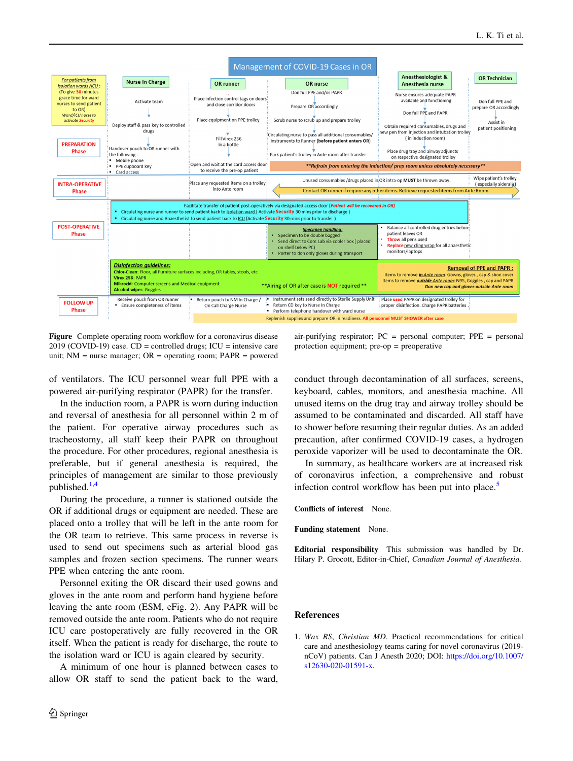<span id="page-1-0"></span>

Figure Complete operating room workflow for a coronavirus disease  $2019$  (COVID-19) case. CD = controlled drugs; ICU = intensive care unit;  $NM =$  nurse manager;  $OR =$  operating room;  $PAPR =$  powered

of ventilators. The ICU personnel wear full PPE with a powered air-purifying respirator (PAPR) for the transfer.

In the induction room, a PAPR is worn during induction and reversal of anesthesia for all personnel within 2 m of the patient. For operative airway procedures such as tracheostomy, all staff keep their PAPR on throughout the procedure. For other procedures, regional anesthesia is preferable, but if general anesthesia is required, the principles of management are similar to those previously published. $1,4$  $1,4$ 

During the procedure, a runner is stationed outside the OR if additional drugs or equipment are needed. These are placed onto a trolley that will be left in the ante room for the OR team to retrieve. This same process in reverse is used to send out specimens such as arterial blood gas samples and frozen section specimens. The runner wears PPE when entering the ante room.

Personnel exiting the OR discard their used gowns and gloves in the ante room and perform hand hygiene before leaving the ante room (ESM, eFig. 2). Any PAPR will be removed outside the ante room. Patients who do not require ICU care postoperatively are fully recovered in the OR itself. When the patient is ready for discharge, the route to the isolation ward or ICU is again cleared by security.

A minimum of one hour is planned between cases to allow OR staff to send the patient back to the ward,

air-purifying respirator; PC = personal computer; PPE = personal protection equipment; pre-op = preoperative

conduct through decontamination of all surfaces, screens, keyboard, cables, monitors, and anesthesia machine. All unused items on the drug tray and airway trolley should be assumed to be contaminated and discarded. All staff have to shower before resuming their regular duties. As an added precaution, after confirmed COVID-19 cases, a hydrogen peroxide vaporizer will be used to decontaminate the OR.

In summary, as healthcare workers are at increased risk of coronavirus infection, a comprehensive and robust infection control workflow has been put into place.<sup>[5](#page-2-0)</sup>

Conflicts of interest None.

Funding statement None.

Editorial responsibility This submission was handled by Dr. Hilary P. Grocott, Editor-in-Chief, Canadian Journal of Anesthesia.

## References

1. Wax RS, Christian MD. Practical recommendations for critical care and anesthesiology teams caring for novel coronavirus (2019 nCoV) patients. Can J Anesth 2020; DOI: [https://doi.org/10.1007/](https://doi.org/10.1007/s12630-020-01591-x) [s12630-020-01591-x](https://doi.org/10.1007/s12630-020-01591-x).